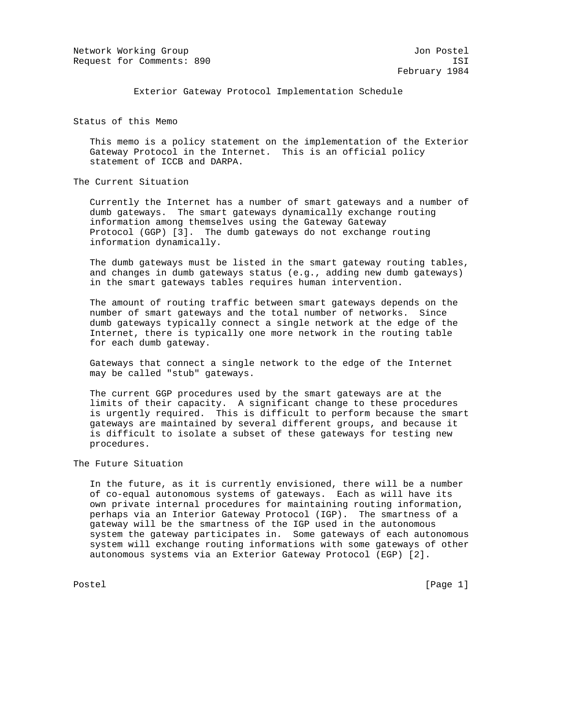Network Working Group Jon Postel Request for Comments: 890 ISI

Exterior Gateway Protocol Implementation Schedule

Status of this Memo

 This memo is a policy statement on the implementation of the Exterior Gateway Protocol in the Internet. This is an official policy statement of ICCB and DARPA.

The Current Situation

 Currently the Internet has a number of smart gateways and a number of dumb gateways. The smart gateways dynamically exchange routing information among themselves using the Gateway Gateway Protocol (GGP) [3]. The dumb gateways do not exchange routing information dynamically.

 The dumb gateways must be listed in the smart gateway routing tables, and changes in dumb gateways status (e.g., adding new dumb gateways) in the smart gateways tables requires human intervention.

 The amount of routing traffic between smart gateways depends on the number of smart gateways and the total number of networks. Since dumb gateways typically connect a single network at the edge of the Internet, there is typically one more network in the routing table for each dumb gateway.

 Gateways that connect a single network to the edge of the Internet may be called "stub" gateways.

 The current GGP procedures used by the smart gateways are at the limits of their capacity. A significant change to these procedures is urgently required. This is difficult to perform because the smart gateways are maintained by several different groups, and because it is difficult to isolate a subset of these gateways for testing new procedures.

The Future Situation

 In the future, as it is currently envisioned, there will be a number of co-equal autonomous systems of gateways. Each as will have its own private internal procedures for maintaining routing information, perhaps via an Interior Gateway Protocol (IGP). The smartness of a gateway will be the smartness of the IGP used in the autonomous system the gateway participates in. Some gateways of each autonomous system will exchange routing informations with some gateways of other autonomous systems via an Exterior Gateway Protocol (EGP) [2].

Postel [Page 1] [Page 1]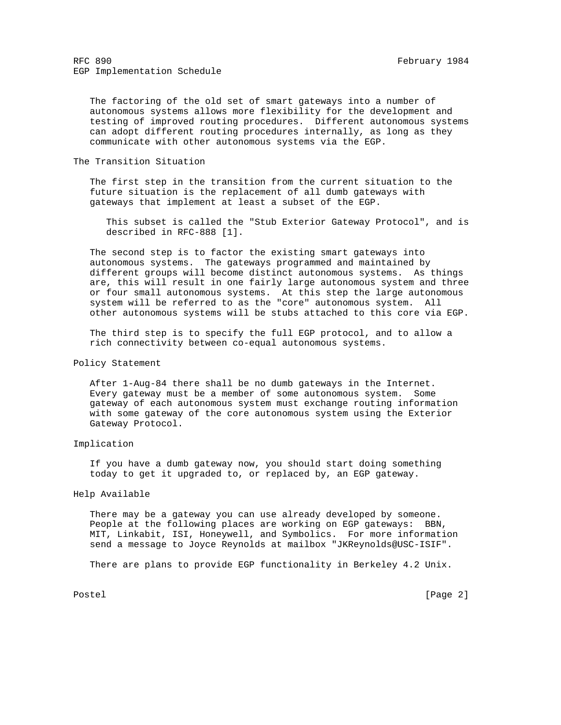The factoring of the old set of smart gateways into a number of autonomous systems allows more flexibility for the development and testing of improved routing procedures. Different autonomous systems can adopt different routing procedures internally, as long as they communicate with other autonomous systems via the EGP.

## The Transition Situation

 The first step in the transition from the current situation to the future situation is the replacement of all dumb gateways with gateways that implement at least a subset of the EGP.

 This subset is called the "Stub Exterior Gateway Protocol", and is described in RFC-888 [1].

 The second step is to factor the existing smart gateways into autonomous systems. The gateways programmed and maintained by different groups will become distinct autonomous systems. As things are, this will result in one fairly large autonomous system and three or four small autonomous systems. At this step the large autonomous system will be referred to as the "core" autonomous system. All other autonomous systems will be stubs attached to this core via EGP.

 The third step is to specify the full EGP protocol, and to allow a rich connectivity between co-equal autonomous systems.

### Policy Statement

 After 1-Aug-84 there shall be no dumb gateways in the Internet. Every gateway must be a member of some autonomous system. Some gateway of each autonomous system must exchange routing information with some gateway of the core autonomous system using the Exterior Gateway Protocol.

### Implication

 If you have a dumb gateway now, you should start doing something today to get it upgraded to, or replaced by, an EGP gateway.

#### Help Available

 There may be a gateway you can use already developed by someone. People at the following places are working on EGP gateways: BBN, MIT, Linkabit, ISI, Honeywell, and Symbolics. For more information send a message to Joyce Reynolds at mailbox "JKReynolds@USC-ISIF".

There are plans to provide EGP functionality in Berkeley 4.2 Unix.

Postel [Page 2]